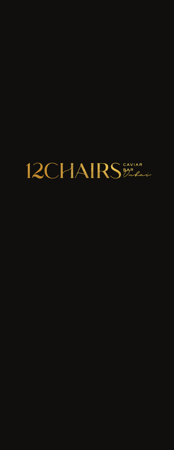# 12CHAIRS PARAL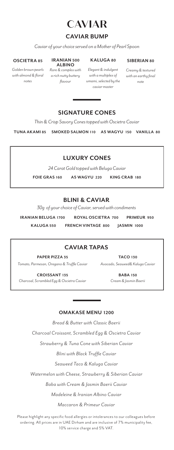

### **CAVIAR BUMP**

*Caviar of your choice served on a Mother of Pearl Spoon*

#### **OSCIETRA 85**

*Golden brown pearls with almond & floral notes*

#### **IRANIAN 500 ALBINO**

#### **KALUGA 80**

**SIBERIAN 80** *Creamy & textured* 

*Rare & complex with a rich nutty buttery flavour*

*Elegant & indulgent with a multiplex of umami, selected by the caviar master*

### *with an earthy final note*

### **SIGNATURE CONES**

*Thin & Crisp Savory Cones topped with Oscietra Caviar*

**TUNA AKAMI 85 SMOKED SALMON 110 A5 WAGYU 150 VANILLA 80**

### **LUXURY CONES**

*24 Carat Gold topped with Beluga Caviar*

**FOIE GRAS 160 A5 WAGYU 220 KING CRAB 180**

### **BLINI & CAVIAR**

*30g of your choice of Caviar, served with condiments*

**IRANIAN BELUGA 1700 ROYAL OSCIETRA 700 PRIMEUR 950 KALUGA 550 FRENCH VINTAGE 800 JASMIN 1000**

### **CAVIAR TAPAS**

**PAPER PIZZA 35** *Tomato, Parmesan, Oregano & Truffle Caviar*

**TACO 130** *Avocado, Seaweed& Kaluga Caviar*

**CROISSANT 135** *Charcoal, Scrambled Egg & Oscietra Caviar*

**BABA 150** *Cream & Jasmin Baerii*

#### **OMAKASE MENU 1200**

*Bread & Butter with Classic Baerii Charcoal Croissant, Scrambled Egg & Oscietra Caviar Strawberry & Tuna Cone with Siberian Caviar Blini with Black Truffle Caviar Seaweed Taco & Kaluga Caviar Watermelon with Cheese, Strawberry & Siberian Caviar*

*Baba with Cream & Jasmin Baerii Caviar*

*Madeleine & Iranian Albino Caviar*

*Maccaron & Primeur Caviar*

Please highlight any specific food allergies or intolerances to our colleagues before ordering. All prices are in UAE Dirham and are inclusive of 7% municipality fee, 10% service charge and 5% VAT.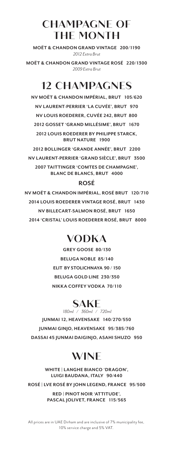### **CHAMPAGNE OF THE MONTH**

**MOËT & CHANDON GRAND VINTAGE 200/1190**  *2012 Extra Brut*

**MOËT & CHANDON GRAND VINTAGE ROSÉ 220/1300** *2009 Extra Brut*

### **12 CHAMPAGNES**

**NV MOËT & CHANDON IMPÉRIAL, BRUT 105/620 NV LAURENT-PERRIER 'LA CUVÉE', BRUT 970 NV LOUIS ROEDERER, CUVÉE 242, BRUT 800 2012 GOSSET 'GRAND MILLÉSIME', BRUT 1670 2012 LOUIS ROEDERER BY PHILIPPE STARCK, BRUT NATURE 1900**

**2012 BOLLINGER 'GRANDE ANNÉE', BRUT 2200 NV LAURENT-PERRIER 'GRAND SIÈCLE', BRUT 3500 2007 TAITTINGER 'COMTES DE CHAMPAGNE', BLANC DE BLANCS, BRUT 4000**

### **ROSÉ**

**NV MOËT & CHANDON IMPÉRIAL, ROSÉ BRUT 120/710 2014 LOUIS ROEDERER VINTAGE ROSÉ, BRUT 1430 NV BILLECART-SALMON ROSÉ, BRUT 1650 2014 'CRISTAL' LOUIS ROEDERER ROSÉ, BRUT 8000**

### **VODKA**

**GREY GOOSE 80/130 BELUGA NOBLE 85/140 ELIT BY STOLICHNAYA 90 / 150 BELUGA GOLD LINE 230/350 NIKKA COFFEY VODKA 70/110**

## **SAKE** *180ml / 360ml / 720ml*

**JUNMAI 12, HEAVENSAKE 140/270/550 JUNMAI GINJO, HEAVENSAKE 95/385/760 DASSAI 45 JUNMAI DAIGINJO, ASAHI SHUZO 950**

### **WINE**

**WHITE | LANGHE BIANCO 'DRAGON', LUIGI BAUDANA, ITALY 90/440**

**ROSÉ | LVE ROSÉ BY JOHN LEGEND, FRANCE 95/500**

**RED | PINOT NOIR 'ATTITUDE', PASCAL JOLIVET, FRANCE 115/565**